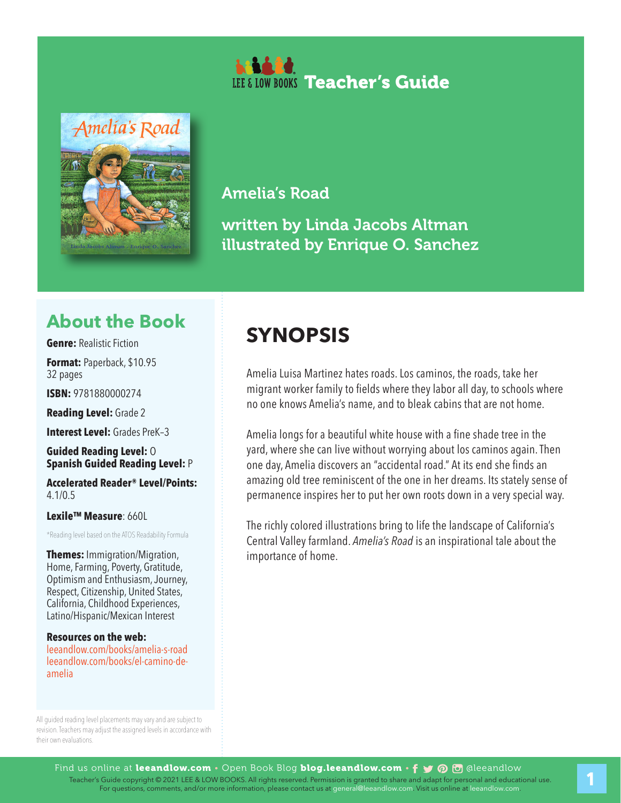



### Amelia's Road

written by Linda Jacobs Altman illustrated by Enrique O. Sanchez

### **About the Book**

**Genre:** Realistic Fiction

**Format:** Paperback, \$10.95 32 pages

**ISBN:** 9781880000274

**Reading Level:** Grade 2

**Interest Level: Grades PreK-3** 

**Guided Reading Level:** O **Spanish Guided Reading Level:** P

**Accelerated Reader® Level/Points:**  4.1/0.5

**Lexile™ Measure**: 660L

\*Reading level based on the ATOS Readability Formula

**Themes:** Immigration/Migration, Home, Farming, Poverty, Gratitude, Optimism and Enthusiasm, Journey, Respect, Citizenship, United States, California, Childhood Experiences, Latino/Hispanic/Mexican Interest

**Resources on the web:**  leeandlow.com/books/amelia-s-road leeandlow.com/books/el-camino-deamelia

All guided reading level placements may vary and are subject to revision. Teachers may adjust the assigned levels in accordance with their own evaluations.

## **SYNOPSIS**

Amelia Luisa Martinez hates roads. Los caminos, the roads, take her migrant worker family to fields where they labor all day, to schools where no one knows Amelia's name, and to bleak cabins that are not home.

Amelia longs for a beautiful white house with a fine shade tree in the yard, where she can live without worrying about los caminos again. Then one day, Amelia discovers an "accidental road." At its end she finds an amazing old tree reminiscent of the one in her dreams. Its stately sense of permanence inspires her to put her own roots down in a very special way.

The richly colored illustrations bring to life the landscape of California's Central Valley farmland. *Amelia's Road* is an inspirational tale about the importance of home.

1. Teacher's Guide copyright © 2021 LEE & LOW BOOKS. All rights reserved. Permission is granted to share and adapt for personal and educational use.<br>For questions, comments, and/or more information, please contact us at ge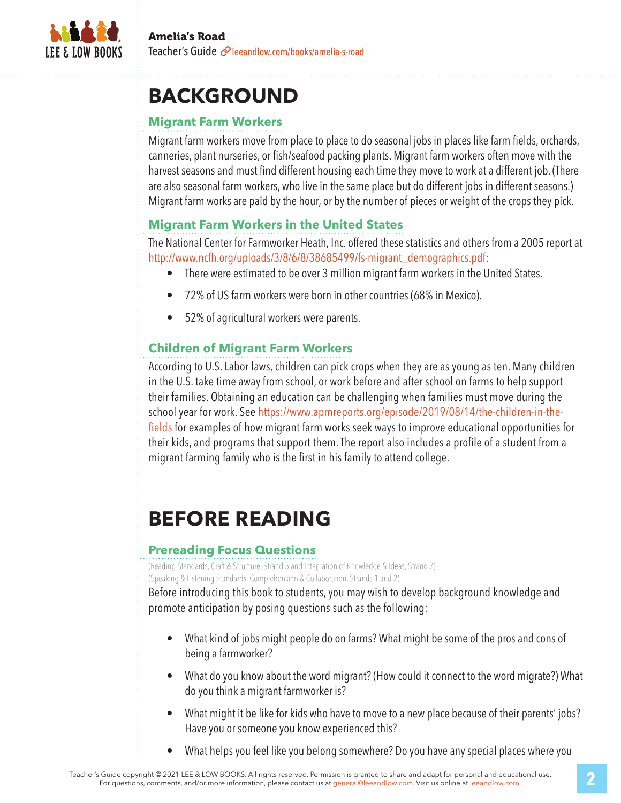

# **BACKGROUND**

#### **Migrant Farm Workers**

Migrant farm workers move from place to place to do seasonal jobs in places like farm fields, orchards, canneries, plant nurseries, or fish/seafood packing plants. Migrant farm workers often move with the harvest seasons and must find different housing each time they move to work at a different job. (There are also seasonal farm workers, who live in the same place but do different jobs in different seasons.) Migrant farm works are paid by the hour, or by the number of pieces or weight of the crops they pick.

#### **Migrant Farm Workers in the United States**

The National Center for Farmworker Heath, Inc. offered these statistics and others from a 2005 report at http://www.ncfh.org/uploads/3/8/6/8/38685499/fs-migrant\_demographics.pdf:

- There were estimated to be over 3 million migrant farm workers in the United States.
- 72% of US farm workers were born in other countries (68% in Mexico).
- 52% of agricultural workers were parents.

#### **Children of Migrant Farm Workers**

According to U.S. Labor laws, children can pick crops when they are as young as ten. Many children in the U.S. take time away from school, or work before and after school on farms to help support their families. Obtaining an education can be challenging when families must move during the school year for work. See https://www.apmreports.org/episode/2019/08/14/the-children-in-thefields for examples of how migrant farm works seek ways to improve educational opportunities for their kids, and programs that support them. The report also includes a profile of a student from a migrant farming family who is the first in his family to attend college.

## **BEFORE READING**

#### **Prereading Focus Questions**

(Reading Standards, Craft & Structure, Strand 5 and Integration of Knowledge & Ideas, Strand 7) (Speaking & Listening Standards, Comprehension & Collaboration, Strands 1 and 2)

Before introducing this book to students, you may wish to develop background knowledge and promote anticipation by posing questions such as the following:

- What kind of jobs might people do on farms? What might be some of the pros and cons of being a farmworker?
- What do you know about the word migrant? (How could it connect to the word migrate?) What do you think a migrant farmworker is?
- What might it be like for kids who have to move to a new place because of their parents' jobs? Have you or someone you know experienced this?
- What helps you feel like you belong somewhere? Do you have any special places where you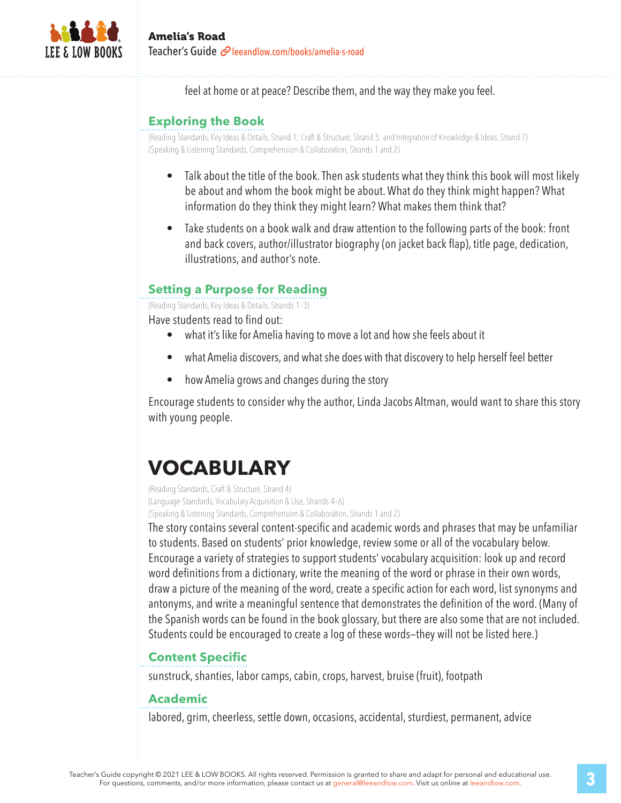

feel at home or at peace? Describe them, and the way they make you feel.

#### **Exploring the Book**

(Reading Standards, Key Ideas & Details, Strand 1; Craft & Structure, Strand 5; and Integration of Knowledge & Ideas, Strand 7) (Speaking & Listening Standards, Comprehension & Collaboration, Strands 1 and 2)

- Talk about the title of the book. Then ask students what they think this book will most likely be about and whom the book might be about. What do they think might happen? What information do they think they might learn? What makes them think that?
- Take students on a book walk and draw attention to the following parts of the book: front and back covers, author/illustrator biography (on jacket back flap), title page, dedication, illustrations, and author's note.

#### **Setting a Purpose for Reading**

(Reading Standards, Key Ideas & Details, Strands 1–3)

Have students read to find out:

- what it's like for Amelia having to move a lot and how she feels about it
- what Amelia discovers, and what she does with that discovery to help herself feel better
- how Amelia grows and changes during the story

Encourage students to consider why the author, Linda Jacobs Altman, would want to share this story with young people.

# **VOCABULARY**

(Reading Standards, Craft & Structure, Strand 4) (Language Standards, Vocabulary Acquisition & Use, Strands 4–6) (Speaking & Listening Standards, Comprehension & Collaboration, Strands 1 and 2)

The story contains several content-specific and academic words and phrases that may be unfamiliar to students. Based on students' prior knowledge, review some or all of the vocabulary below. Encourage a variety of strategies to support students' vocabulary acquisition: look up and record word definitions from a dictionary, write the meaning of the word or phrase in their own words, draw a picture of the meaning of the word, create a specific action for each word, list synonyms and antonyms, and write a meaningful sentence that demonstrates the definition of the word. (Many of the Spanish words can be found in the book glossary, but there are also some that are not included. Students could be encouraged to create a log of these words—they will not be listed here.)

#### **Content Specific**

sunstruck, shanties, labor camps, cabin, crops, harvest, bruise (fruit), footpath

#### **Academic**

labored, grim, cheerless, settle down, occasions, accidental, sturdiest, permanent, advice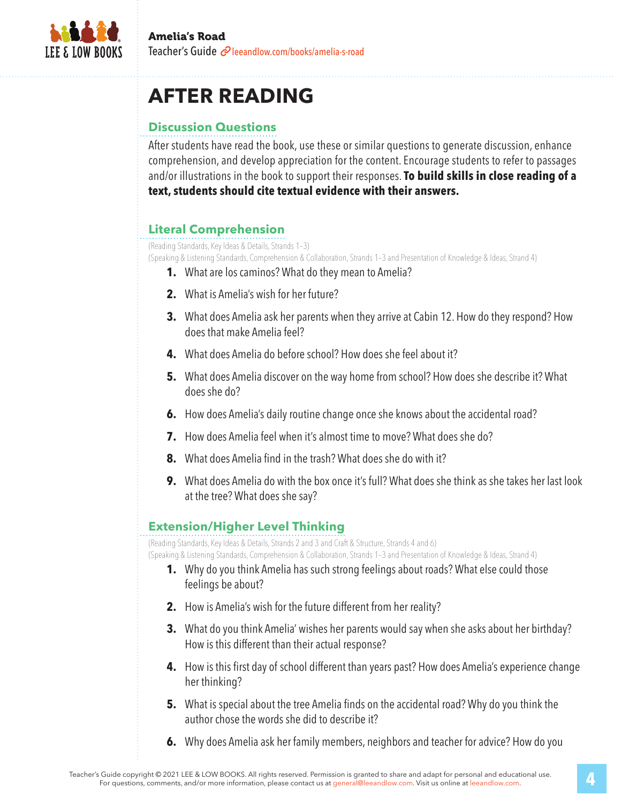

# **AFTER READING**

### **Discussion Questions**

After students have read the book, use these or similar questions to generate discussion, enhance comprehension, and develop appreciation for the content. Encourage students to refer to passages and/or illustrations in the book to support their responses. **To build skills in close reading of a text, students should cite textual evidence with their answers.**

### **Literal Comprehension**

(Reading Standards, Key Ideas & Details, Strands 1–3)

(Speaking & Listening Standards, Comprehension & Collaboration, Strands 1–3 and Presentation of Knowledge & Ideas, Strand 4)

- **1.** What are los caminos? What do they mean to Amelia?
- **2.** What is Amelia's wish for her future?
- **3.** What does Amelia ask her parents when they arrive at Cabin 12. How do they respond? How does that make Amelia feel?
- **4.** What does Amelia do before school? How does she feel about it?
- **5.** What does Amelia discover on the way home from school? How does she describe it? What does she do?
- **6.** How does Amelia's daily routine change once she knows about the accidental road?
- **7.** How does Amelia feel when it's almost time to move? What does she do?
- **8.** What does Amelia find in the trash? What does she do with it?
- **9.** What does Amelia do with the box once it's full? What does she think as she takes her last look at the tree? What does she say?

#### **Extension/Higher Level Thinking**

(Reading Standards, Key Ideas & Details, Strands 2 and 3 and Craft & Structure, Strands 4 and 6)

(Speaking & Listening Standards, Comprehension & Collaboration, Strands 1–3 and Presentation of Knowledge & Ideas, Strand 4)

- **1.** Why do you think Amelia has such strong feelings about roads? What else could those feelings be about?
- **2.** How is Amelia's wish for the future different from her reality?
- **3.** What do you think Amelia' wishes her parents would say when she asks about her birthday? How is this different than their actual response?
- **4.** How is this first day of school different than years past? How does Amelia's experience change her thinking?
- **5.** What is special about the tree Amelia finds on the accidental road? Why do you think the author chose the words she did to describe it?
- **6.** Why does Amelia ask her family members, neighbors and teacher for advice? How do you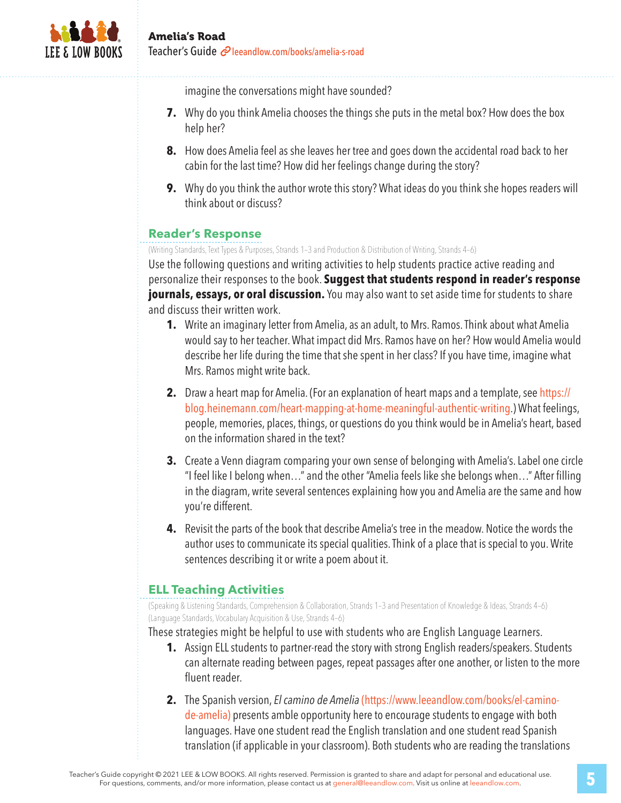

imagine the conversations might have sounded?

- **7.** Why do you think Amelia chooses the things she puts in the metal box? How does the box help her?
- **8.** How does Amelia feel as she leaves her tree and goes down the accidental road back to her cabin for the last time? How did her feelings change during the story?
- **9.** Why do you think the author wrote this story? What ideas do you think she hopes readers will think about or discuss?

#### **Reader's Response**

(Writing Standards, Text Types & Purposes, Strands 1–3 and Production & Distribution of Writing, Strands 4–6)

Use the following questions and writing activities to help students practice active reading and personalize their responses to the book. **Suggest that students respond in reader's response journals, essays, or oral discussion.** You may also want to set aside time for students to share and discuss their written work.

- **1.** Write an imaginary letter from Amelia, as an adult, to Mrs. Ramos. Think about what Amelia would say to her teacher. What impact did Mrs. Ramos have on her? How would Amelia would describe her life during the time that she spent in her class? If you have time, imagine what Mrs. Ramos might write back.
- **2.** Draw a heart map for Amelia. (For an explanation of heart maps and a template, see https:// blog.heinemann.com/heart-mapping-at-home-meaningful-authentic-writing.) What feelings, people, memories, places, things, or questions do you think would be in Amelia's heart, based on the information shared in the text?
- **3.** Create a Venn diagram comparing your own sense of belonging with Amelia's. Label one circle "I feel like I belong when…" and the other "Amelia feels like she belongs when…" After filling in the diagram, write several sentences explaining how you and Amelia are the same and how you're different.
- **4.** Revisit the parts of the book that describe Amelia's tree in the meadow. Notice the words the author uses to communicate its special qualities. Think of a place that is special to you. Write sentences describing it or write a poem about it.

### **ELL Teaching Activities**

(Speaking & Listening Standards, Comprehension & Collaboration, Strands 1–3 and Presentation of Knowledge & Ideas, Strands 4–6) (Language Standards, Vocabulary Acquisition & Use, Strands 4–6)

These strategies might be helpful to use with students who are English Language Learners.

- **1.** Assign ELL students to partner-read the story with strong English readers/speakers. Students can alternate reading between pages, repeat passages after one another, or listen to the more fluent reader.
- **2.** The Spanish version, *El camino de Amelia* (https://www.leeandlow.com/books/el-caminode-amelia) presents amble opportunity here to encourage students to engage with both languages. Have one student read the English translation and one student read Spanish translation (if applicable in your classroom). Both students who are reading the translations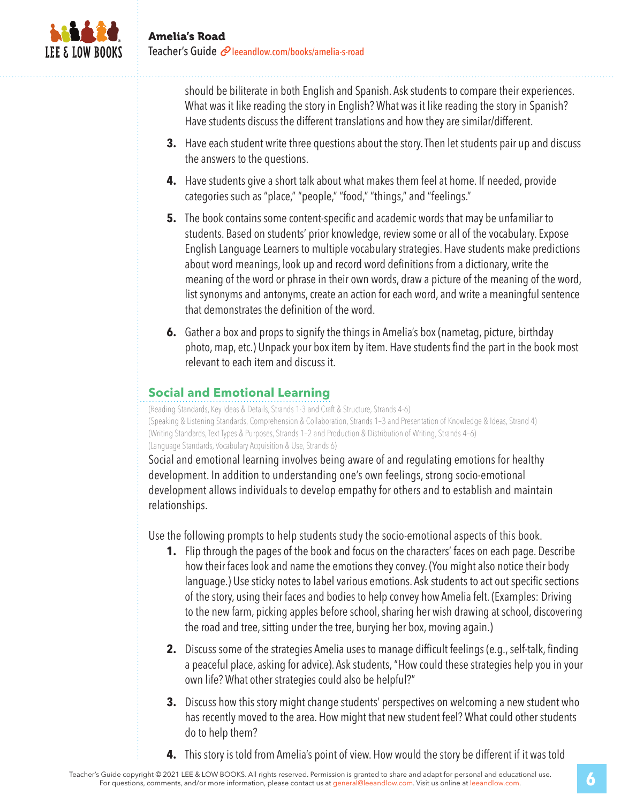

should be biliterate in both English and Spanish. Ask students to compare their experiences. What was it like reading the story in English? What was it like reading the story in Spanish? Have students discuss the different translations and how they are similar/different.

- **3.** Have each student write three questions about the story. Then let students pair up and discuss the answers to the questions.
- **4.** Have students give a short talk about what makes them feel at home. If needed, provide categories such as "place," "people," "food," "things," and "feelings."
- **5.** The book contains some content-specific and academic words that may be unfamiliar to students. Based on students' prior knowledge, review some or all of the vocabulary. Expose English Language Learners to multiple vocabulary strategies. Have students make predictions about word meanings, look up and record word definitions from a dictionary, write the meaning of the word or phrase in their own words, draw a picture of the meaning of the word, list synonyms and antonyms, create an action for each word, and write a meaningful sentence that demonstrates the definition of the word.
- **6.** Gather a box and props to signify the things in Amelia's box (nametag, picture, birthday photo, map, etc.) Unpack your box item by item. Have students find the part in the book most relevant to each item and discuss it.

### **Social and Emotional Learning**

(Reading Standards, Key Ideas & Details, Strands 1-3 and Craft & Structure, Strands 4-6) (Speaking & Listening Standards, Comprehension & Collaboration, Strands 1–3 and Presentation of Knowledge & Ideas, Strand 4) (Writing Standards, Text Types & Purposes, Strands 1–2 and Production & Distribution of Writing, Strands 4–6) (Language Standards, Vocabulary Acquisition & Use, Strands 6)

Social and emotional learning involves being aware of and regulating emotions for healthy development. In addition to understanding one's own feelings, strong socio-emotional development allows individuals to develop empathy for others and to establish and maintain relationships.

Use the following prompts to help students study the socio-emotional aspects of this book.

- **1.** Flip through the pages of the book and focus on the characters' faces on each page. Describe how their faces look and name the emotions they convey. (You might also notice their body language.) Use sticky notes to label various emotions. Ask students to act out specific sections of the story, using their faces and bodies to help convey how Amelia felt. (Examples: Driving to the new farm, picking apples before school, sharing her wish drawing at school, discovering the road and tree, sitting under the tree, burying her box, moving again.)
- **2.** Discuss some of the strategies Amelia uses to manage difficult feelings (e.g., self-talk, finding a peaceful place, asking for advice). Ask students, "How could these strategies help you in your own life? What other strategies could also be helpful?"
- **3.** Discuss how this story might change students' perspectives on welcoming a new student who has recently moved to the area. How might that new student feel? What could other students do to help them?
- **4.** This story is told from Amelia's point of view. How would the story be different if it was told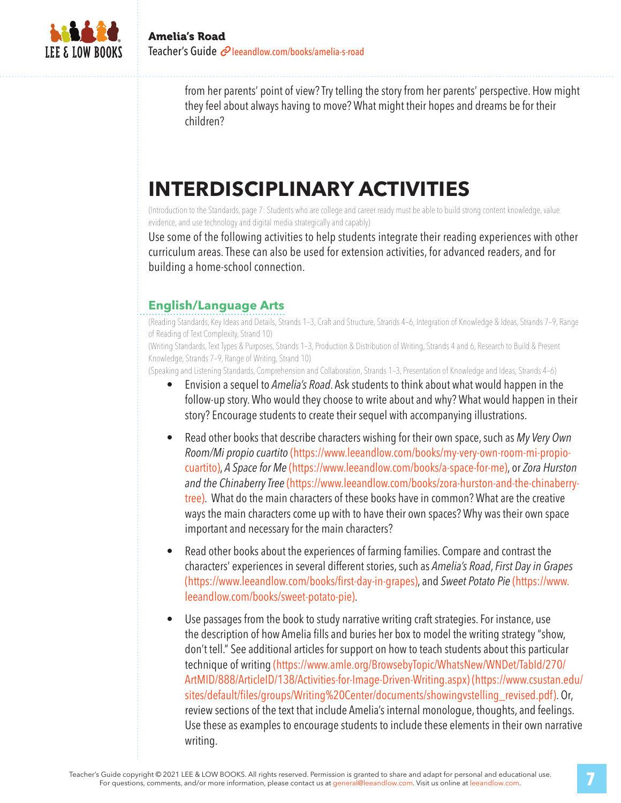

from her parents' point of view? Try telling the story from her parents' perspective. How might they feel about always having to move? What might their hopes and dreams be for their children?

# **INTERDISCIPLINARY ACTIVITIES**

(Introduction to the Standards, page 7: Students who are college and career ready must be able to build strong content knowledge, value evidence, and use technology and digital media strategically and capably)

Use some of the following activities to help students integrate their reading experiences with other curriculum areas. These can also be used for extension activities, for advanced readers, and for building a home-school connection.

### **English/Language Arts**

(Reading Standards, Key Ideas and Details, Strands 1–3, Craft and Structure, Strands 4–6, Integration of Knowledge & Ideas, Strands 7–9, Range of Reading of Text Complexity, Strand 10)

(Writing Standards, Text Types & Purposes, Strands 1–3, Production & Distribution of Writing, Strands 4 and 6, Research to Build & Present Knowledge, Strands 7–9, Range of Writing, Strand 10)

(Speaking and Listening Standards, Comprehension and Collaboration, Strands 1–3, Presentation of Knowledge and Ideas, Strands 4–6)

- Envision a sequel to *Amelia's Road*. Ask students to think about what would happen in the follow-up story. Who would they choose to write about and why? What would happen in their story? Encourage students to create their sequel with accompanying illustrations.
- Read other books that describe characters wishing for their own space, such as *My Very Own Room/Mi propio cuartito* (https://www.leeandlow.com/books/my-very-own-room-mi-propiocuartito), *A Space for Me* (https://www.leeandlow.com/books/a-space-for-me), or *Zora Hurston and the Chinaberry Tree* (https://www.leeandlow.com/books/zora-hurston-and-the-chinaberrytree). What do the main characters of these books have in common? What are the creative ways the main characters come up with to have their own spaces? Why was their own space important and necessary for the main characters?
- Read other books about the experiences of farming families. Compare and contrast the characters' experiences in several different stories, such as *Amelia's Road*, *First Day in Grapes*  (https://www.leeandlow.com/books/first-day-in-grapes), and *Sweet Potato Pie* (https://www. leeandlow.com/books/sweet-potato-pie).
- Use passages from the book to study narrative writing craft strategies. For instance, use the description of how Amelia fills and buries her box to model the writing strategy "show, don't tell." See additional articles for support on how to teach students about this particular technique of writing (https://www.amle.org/BrowsebyTopic/WhatsNew/WNDet/TabId/270/ ArtMID/888/ArticleID/138/Activities-for-Image-Driven-Writing.aspx) (https://www.csustan.edu/ sites/default/files/groups/Writing%20Center/documents/showingvstelling\_revised.pdf). Or, review sections of the text that include Amelia's internal monologue, thoughts, and feelings. Use these as examples to encourage students to include these elements in their own narrative writing.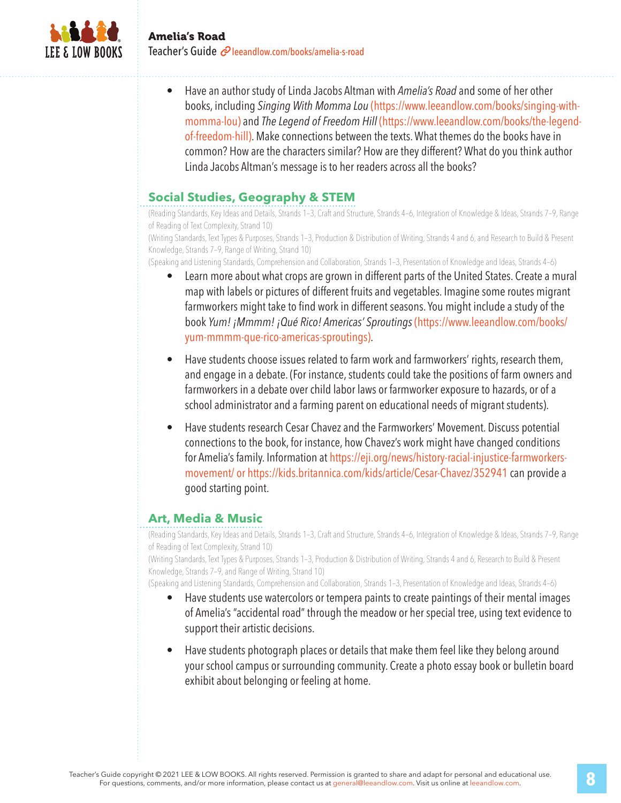

• Have an author study of Linda Jacobs Altman with *Amelia's Road* and some of her other books, including *Singing With Momma Lou* (https://www.leeandlow.com/books/singing-withmomma-lou) and *The Legend of Freedom Hill* (https://www.leeandlow.com/books/the-legendof-freedom-hill). Make connections between the texts. What themes do the books have in common? How are the characters similar? How are they different? What do you think author Linda Jacobs Altman's message is to her readers across all the books?

#### **Social Studies, Geography & STEM**

(Reading Standards, Key Ideas and Details, Strands 1–3, Craft and Structure, Strands 4–6, Integration of Knowledge & Ideas, Strands 7–9, Range of Reading of Text Complexity, Strand 10)

(Writing Standards, Text Types & Purposes, Strands 1–3, Production & Distribution of Writing, Strands 4 and 6, and Research to Build & Present Knowledge, Strands 7–9, Range of Writing, Strand 10)

(Speaking and Listening Standards, Comprehension and Collaboration, Strands 1–3, Presentation of Knowledge and Ideas, Strands 4–6)

- Learn more about what crops are grown in different parts of the United States. Create a mural map with labels or pictures of different fruits and vegetables. Imagine some routes migrant farmworkers might take to find work in different seasons. You might include a study of the book *Yum! ¡Mmmm! ¡Qué Rico! Americas' Sproutings* (https://www.leeandlow.com/books/ yum-mmmm-que-rico-americas-sproutings).
- Have students choose issues related to farm work and farmworkers' rights, research them, and engage in a debate. (For instance, students could take the positions of farm owners and farmworkers in a debate over child labor laws or farmworker exposure to hazards, or of a school administrator and a farming parent on educational needs of migrant students).
- Have students research Cesar Chavez and the Farmworkers' Movement. Discuss potential connections to the book, for instance, how Chavez's work might have changed conditions for Amelia's family. Information at https://eji.org/news/history-racial-injustice-farmworkersmovement/ or https://kids.britannica.com/kids/article/Cesar-Chavez/352941 can provide a good starting point.

#### **Art, Media & Music**

(Reading Standards, Key Ideas and Details, Strands 1–3, Craft and Structure, Strands 4–6, Integration of Knowledge & Ideas, Strands 7–9, Range of Reading of Text Complexity, Strand 10)

(Writing Standards, Text Types & Purposes, Strands 1–3, Production & Distribution of Writing, Strands 4 and 6, Research to Build & Present Knowledge, Strands 7–9, and Range of Writing, Strand 10)

(Speaking and Listening Standards, Comprehension and Collaboration, Strands 1–3, Presentation of Knowledge and Ideas, Strands 4–6)

- Have students use watercolors or tempera paints to create paintings of their mental images of Amelia's "accidental road" through the meadow or her special tree, using text evidence to support their artistic decisions.
- Have students photograph places or details that make them feel like they belong around your school campus or surrounding community. Create a photo essay book or bulletin board exhibit about belonging or feeling at home.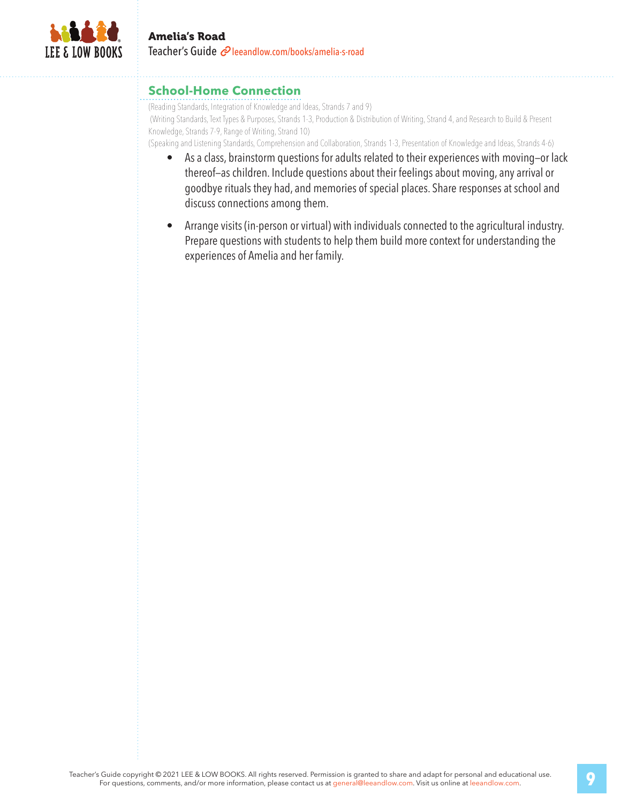

#### **School-Home Connection**

(Reading Standards, Integration of Knowledge and Ideas, Strands 7 and 9) (Writing Standards, Text Types & Purposes, Strands 1-3, Production & Distribution of Writing, Strand 4, and Research to Build & Present Knowledge, Strands 7-9, Range of Writing, Strand 10)

(Speaking and Listening Standards, Comprehension and Collaboration, Strands 1-3, Presentation of Knowledge and Ideas, Strands 4-6)

- As a class, brainstorm questions for adults related to their experiences with moving—or lack thereof—as children. Include questions about their feelings about moving, any arrival or goodbye rituals they had, and memories of special places. Share responses at school and discuss connections among them.
- Arrange visits (in-person or virtual) with individuals connected to the agricultural industry. Prepare questions with students to help them build more context for understanding the experiences of Amelia and her family.